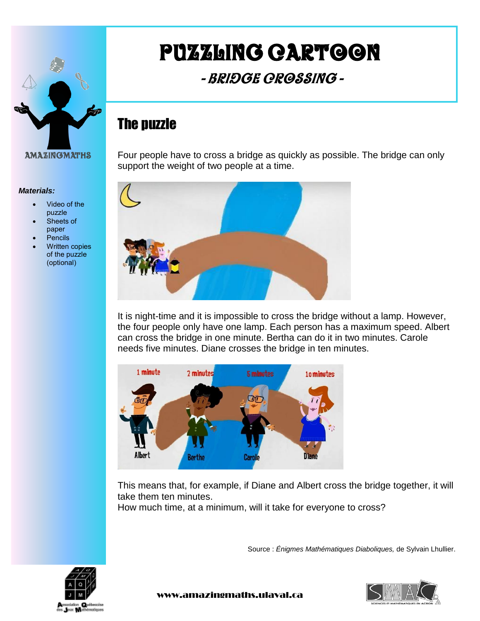

*Materials:*

- Video of the puzzle
- Sheets of paper
- **Pencils**
- Written copies of the puzzle (optional)

# Puzzling cartoon

- Bridge Crossing -

## The puzzle

Four people have to cross a bridge as quickly as possible. The bridge can only support the weight of two people at a time.



It is night-time and it is impossible to cross the bridge without a lamp. However, the four people only have one lamp. Each person has a maximum speed. Albert can cross the bridge in one minute. Bertha can do it in two minutes. Carole needs five minutes. Diane crosses the bridge in ten minutes.



This means that, for example, if Diane and Albert cross the bridge together, it will take them ten minutes.

How much time, at a minimum, will it take for everyone to cross?

Source : *Énigmes Mathématiques Diaboliques,* de Sylvain Lhullier.





www.amazingmaths.ulaval.ca